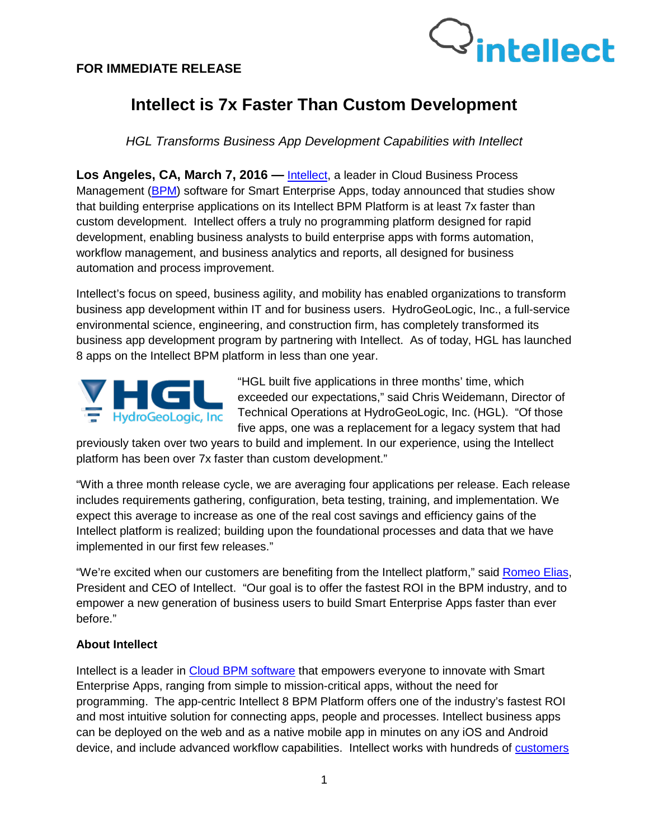

## **Intellect is 7x Faster Than Custom Development**

*HGL Transforms Business App Development Capabilities with Intellect*

**Los Angeles, CA, March 7, 2016 —** [Intellect,](http://www.intellect.com/) a leader in Cloud Business Process Management [\(BPM\)](http://www.intellect.com/intellect-8-bpm-platform-app) software for [Smart](http://www.interneer.com/hosted-workflow-products-services/intellect-cloud/) Enterprise Apps, today announced that studies show that building enterprise applications on its Intellect BPM Platform is at least 7x faster than custom development. Intellect offers a truly no programming platform designed for rapid development, enabling business analysts to build enterprise apps with forms automation, workflow management, and business analytics and reports, all designed for business automation and process improvement.

Intellect's focus on speed, business agility, and mobility has enabled organizations to transform business app development within IT and for business users. HydroGeoLogic, Inc., a full-service environmental science, engineering, and construction firm, has completely transformed its business app development program by partnering with Intellect. As of today, HGL has launched 8 apps on the Intellect BPM platform in less than one year.



"HGL built five applications in three months' time, which exceeded our expectations," said Chris Weidemann, Director of Technical Operations at HydroGeoLogic, Inc. (HGL). "Of those five apps, one was a replacement for a legacy system that had

previously taken over two years to build and implement. In our experience, using the Intellect platform has been over 7x faster than custom development."

"With a three month release cycle, we are averaging four applications per release. Each release includes requirements gathering, configuration, beta testing, training, and implementation. We expect this average to increase as one of the real cost savings and efficiency gains of the Intellect platform is realized; building upon the foundational processes and data that we have implemented in our first few releases."

"We're excited when our customers are benefiting from the Intellect platform," said [Romeo Elias,](http://www.intellect.com/workflow-business-process-management-software-about-us/our-team/) President and CEO of Intellect. "Our goal is to offer the fastest ROI in the BPM industry, and to empower a new generation of business users to build Smart Enterprise Apps faster than ever before."

## **About Intellect**

Intellect is a leader in [Cloud BPM software](http://www.interneer.com/hosted-workflow-products-services/intellect-cloud/) that empowers everyone to innovate with Smart Enterprise Apps, ranging from simple to mission-critical apps, without the need for programming. The app-centric Intellect 8 BPM Platform offers one of the industry's fastest ROI and most intuitive solution for connecting apps, people and processes. Intellect business apps can be deployed on the web and as a native mobile app in minutes on any iOS and Android device, and include advanced workflow capabilities. Intellect works with hundreds of [customers](http://www.intellect.com/customers/)